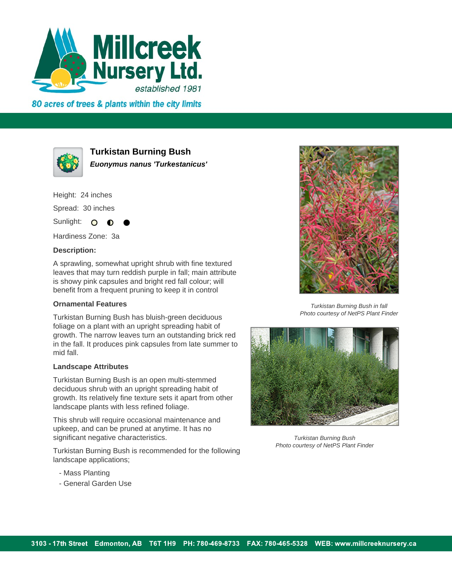

80 acres of trees & plants within the city limits



**Turkistan Burning Bush**

**Euonymus nanus 'Turkestanicus'**

Height: 24 inches Spread: 30 inches

Sunlight:  $\Omega$ 

Hardiness Zone: 3a

## **Description:**

A sprawling, somewhat upright shrub with fine textured leaves that may turn reddish purple in fall; main attribute is showy pink capsules and bright red fall colour; will benefit from a frequent pruning to keep it in control

## **Ornamental Features**

Turkistan Burning Bush has bluish-green deciduous foliage on a plant with an upright spreading habit of growth. The narrow leaves turn an outstanding brick red in the fall. It produces pink capsules from late summer to mid fall.

## **Landscape Attributes**

Turkistan Burning Bush is an open multi-stemmed deciduous shrub with an upright spreading habit of growth. Its relatively fine texture sets it apart from other landscape plants with less refined foliage.

This shrub will require occasional maintenance and upkeep, and can be pruned at anytime. It has no significant negative characteristics.

Turkistan Burning Bush is recommended for the following landscape applications;

- Mass Planting
- General Garden Use



Turkistan Burning Bush in fall Photo courtesy of NetPS Plant Finder



Turkistan Burning Bush Photo courtesy of NetPS Plant Finder